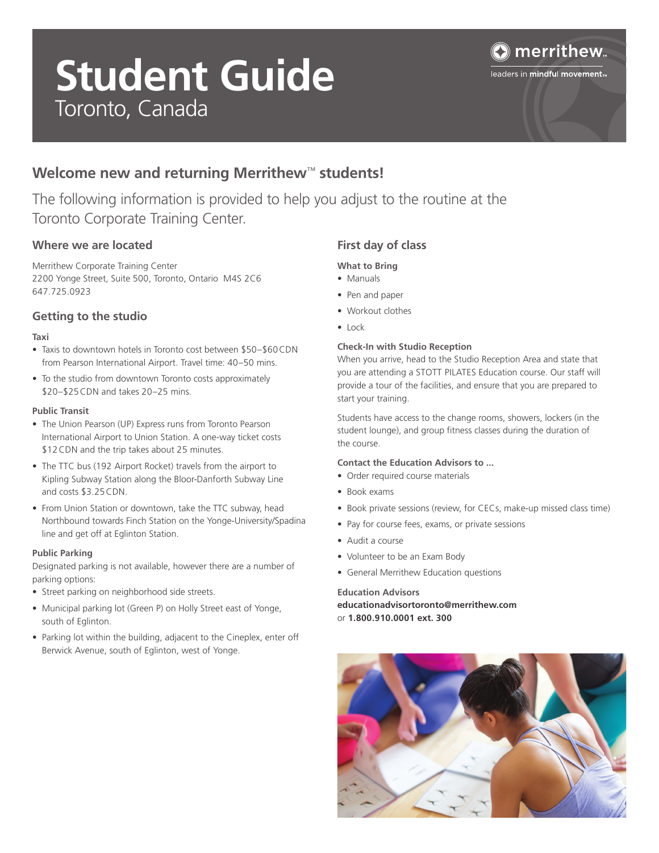# **Student Guide**  Toronto, Canada



leaders in mindful movement<sub>m</sub>

# **Welcome new and returning Merrithew**™ **students!**

The following information is provided to help you adjust to the routine at the Toronto Corporate Training Center.

### **Where we are located**

Merrithew Corporate Training Center 2200 Yonge Street, Suite 500, Toronto, Ontario M4S 2C6 647.725.0923

#### **Getting to the studio**

#### **Taxi**

- Taxis to downtown hotels in Toronto cost between \$50–\$60CDN from Pearson International Airport. Travel time: 40–50 mins.
- To the studio from downtown Toronto costs approximately \$20–\$25CDN and takes 20–25 mins.

#### **Public Transit**

- The Union Pearson (UP) Express runs from Toronto Pearson International Airport to Union Station. A one-way ticket costs \$12CDN and the trip takes about 25 minutes.
- The TTC bus (192 Airport Rocket) travels from the airport to Kipling Subway Station along the Bloor-Danforth Subway Line and costs \$3.25CDN.
- From Union Station or downtown, take the TTC subway, head Northbound towards Finch Station on the Yonge-University/Spadina line and get off at Eglinton Station.

#### **Public Parking**

Designated parking is not available, however there are a number of parking options:

- Street parking on neighborhood side streets.
- Municipal parking lot (Green P) on Holly Street east of Yonge, south of Eglinton.
- Parking lot within the building, adjacent to the Cineplex, enter off Berwick Avenue, south of Eglinton, west of Yonge.

## **First day of class**

#### **What to Bring**

- Manuals
- Pen and paper
- Workout clothes
- Lock

#### **Check-In with Studio Reception**

When you arrive, head to the Studio Reception Area and state that you are attending a STOTT PILATES Education course. Our staff will provide a tour of the facilities, and ensure that you are prepared to start your training.

Students have access to the change rooms, showers, lockers (in the student lounge), and group fitness classes during the duration of the course.

#### **Contact the Education Advisors to ...**

- Order required course materials
- Book exams
- Book private sessions (review, for CECs, make-up missed class time)
- Pay for course fees, exams, or private sessions
- Audit a course
- Volunteer to be an Exam Body
- General Merrithew Education questions

#### **Education Advisors**

**educationadvisortoronto@merrithew.com** or **1.800.910.0001 ext. 300**